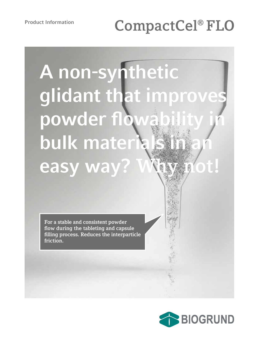# **CompactCel® FLO**

# **A non-synthetic glidant that improves**  powder flow **bulk mater easy way?**

**For a stable and consistent powder flow during the tableting and capsule filling process. Reduces the interparticle friction.**